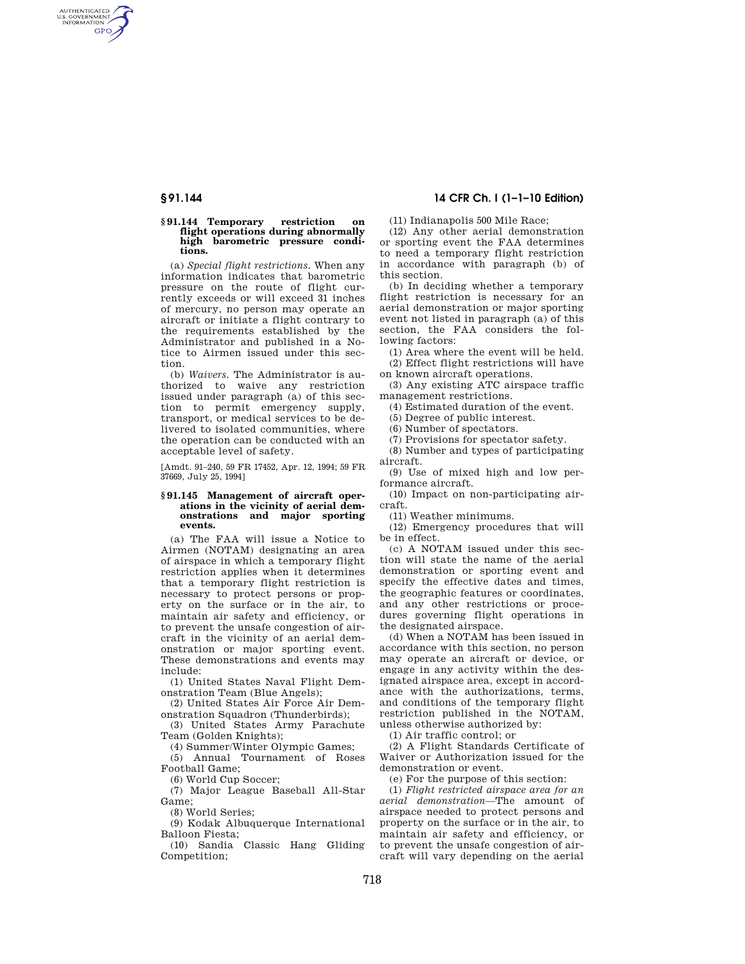AUTHENTICATED<br>U.S. GOVERNMENT<br>INFORMATION **GPO** 

#### **§ 91.144 Temporary restriction on flight operations during abnormally high barometric pressure conditions.**

(a) *Special flight restrictions.* When any information indicates that barometric pressure on the route of flight currently exceeds or will exceed 31 inches of mercury, no person may operate an aircraft or initiate a flight contrary to the requirements established by the Administrator and published in a Notice to Airmen issued under this section.

(b) *Waivers.* The Administrator is authorized to waive any restriction issued under paragraph (a) of this section to permit emergency supply, transport, or medical services to be delivered to isolated communities, where the operation can be conducted with an acceptable level of safety.

[Amdt. 91–240, 59 FR 17452, Apr. 12, 1994; 59 FR 37669, July 25, 1994]

## **§ 91.145 Management of aircraft operations in the vicinity of aerial demonstrations and major sporting events.**

(a) The FAA will issue a Notice to Airmen (NOTAM) designating an area of airspace in which a temporary flight restriction applies when it determines that a temporary flight restriction is necessary to protect persons or property on the surface or in the air, to maintain air safety and efficiency, or to prevent the unsafe congestion of aircraft in the vicinity of an aerial demonstration or major sporting event. These demonstrations and events may include:

(1) United States Naval Flight Demonstration Team (Blue Angels);

(2) United States Air Force Air Demonstration Squadron (Thunderbirds);

(3) United States Army Parachute Team (Golden Knights);

(4) Summer/Winter Olympic Games;

(5) Annual Tournament of Roses Football Game;

(6) World Cup Soccer;

(7) Major League Baseball All-Star Game;

(8) World Series;

(9) Kodak Albuquerque International Balloon Fiesta;

(10) Sandia Classic Hang Gliding Competition;

# **§ 91.144 14 CFR Ch. I (1–1–10 Edition)**

(11) Indianapolis 500 Mile Race;

(12) Any other aerial demonstration or sporting event the FAA determines to need a temporary flight restriction in accordance with paragraph (b) of this section.

(b) In deciding whether a temporary flight restriction is necessary for an aerial demonstration or major sporting event not listed in paragraph (a) of this section, the FAA considers the following factors:

(1) Area where the event will be held. (2) Effect flight restrictions will have

on known aircraft operations.

(3) Any existing ATC airspace traffic management restrictions.

(4) Estimated duration of the event.

(5) Degree of public interest.

(6) Number of spectators.

(7) Provisions for spectator safety.

(8) Number and types of participating

aircraft. (9) Use of mixed high and low performance aircraft.

(10) Impact on non-participating aircraft.

(11) Weather minimums.

(12) Emergency procedures that will be in effect.

(c) A NOTAM issued under this section will state the name of the aerial demonstration or sporting event and specify the effective dates and times, the geographic features or coordinates, and any other restrictions or procedures governing flight operations in the designated airspace.

(d) When a NOTAM has been issued in accordance with this section, no person may operate an aircraft or device, or engage in any activity within the designated airspace area, except in accordance with the authorizations, terms, and conditions of the temporary flight restriction published in the NOTAM, unless otherwise authorized by:

(1) Air traffic control; or

(2) A Flight Standards Certificate of Waiver or Authorization issued for the demonstration or event.

(e) For the purpose of this section:

(1) *Flight restricted airspace area for an aerial demonstration—*The amount of airspace needed to protect persons and property on the surface or in the air, to maintain air safety and efficiency, or to prevent the unsafe congestion of aircraft will vary depending on the aerial